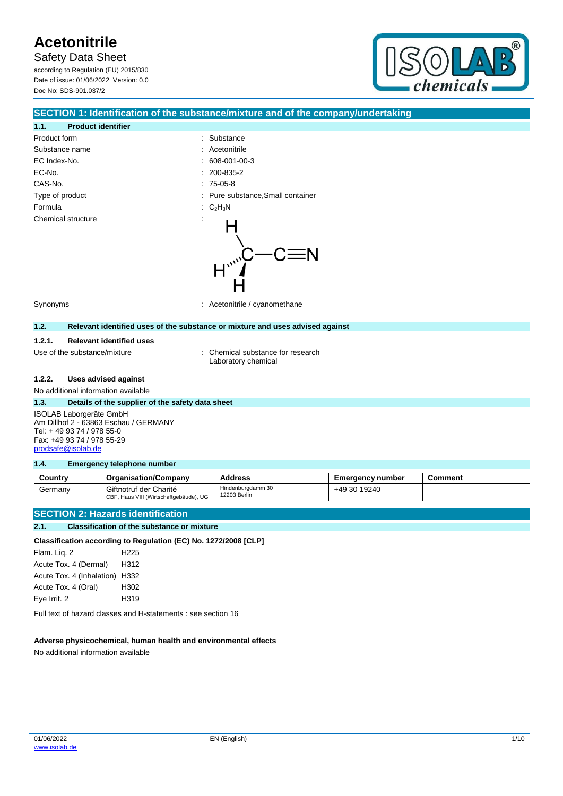Safety Data Sheet

according to Regulation (EU) 2015/830 Date of issue: 01/06/2022 Version: 0.0 Doc No: SDS-901.037/2



## **SECTION 1: Identification of the substance/mixture and of the company/undertaking**

## **1.1. Product identifier** Product form  $\qquad \qquad$ : Substance Substance name : Acetonitrile EC Index-No. : 608-001-00-3 EC-No. CAS-No. Type of product Formula Chemical structure

|   | 000 UU I UU U                   |
|---|---------------------------------|
|   | 200-835-2                       |
|   | 75-05-8                         |
|   | Pure substance, Small container |
| t | $C_2H_3N$                       |
|   |                                 |

Synonyms : Acetonitrile / cyanomethane

#### **1.2. Relevant identified uses of the substance or mixture and uses advised against**

#### **1.2.1. Relevant identified uses**

Use of the substance/mixture : Chemical substance for research Laboratory chemical

#### **1.2.2. Uses advised against**

No additional information available

#### **1.3. Details of the supplier of the safety data sheet**

ISOLAB Laborgeräte GmbH Am Dillhof 2 - 63863 Eschau / GERMANY Tel: + 49 93 74 / 978 55-0 Fax: +49 93 74 / 978 55-29 [prodsafe@isolab.de](mailto:prodsafe@isolab.de)

#### **1.4. Emergency telephone number**

| Country | <b>Organisation/Company</b>                                      | Address                           | Emergency number | Comment |
|---------|------------------------------------------------------------------|-----------------------------------|------------------|---------|
| Germany | Giftnotruf der Charité<br>CBF, Haus VIII (Wirtschaftgebäude), UG | Hindenburgdamm 30<br>12203 Berlin | +49 30 19240     |         |

## **SECTION 2: Hazards identification**

#### **2.1. Classification of the substance or mixture**

#### **Classification according to Regulation (EC) No. 1272/2008 [CLP]**

Flam. Liq. 2 H225 Acute Tox. 4 (Dermal) H312 Acute Tox. 4 (Inhalation) H332 Acute Tox. 4 (Oral) H302 Eye Irrit. 2 H319

Full text of hazard classes and H-statements : see section 16

#### **Adverse physicochemical, human health and environmental effects**

No additional information available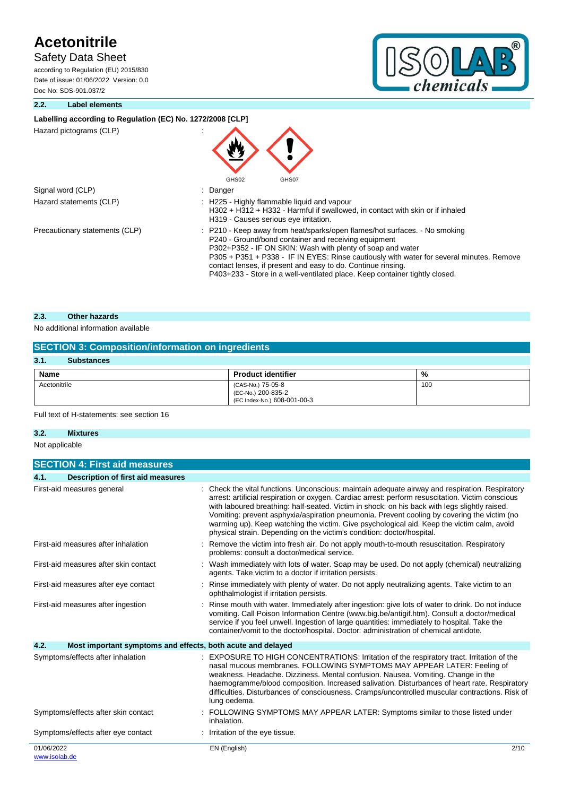## Safety Data Sheet

according to Regulation (EU) 2015/830 Date of issue: 01/06/2022 Version: 0.0 Doc No: SDS-901.037/2



### **2.2. Label elements**

## Labelling according to Regulation (EC) No. 1272/2008 [CLP]

Hazard pictograms (CLP) :

|                                | ▼<br>GHS02<br>GHS07                                                                                                                                                                                                                                                                                                                                                                                                                         |
|--------------------------------|---------------------------------------------------------------------------------------------------------------------------------------------------------------------------------------------------------------------------------------------------------------------------------------------------------------------------------------------------------------------------------------------------------------------------------------------|
| Signal word (CLP)              | : Danger                                                                                                                                                                                                                                                                                                                                                                                                                                    |
| Hazard statements (CLP)        | : H225 - Highly flammable liquid and vapour<br>H302 + H312 + H332 - Harmful if swallowed, in contact with skin or if inhaled<br>H319 - Causes serious eye irritation.                                                                                                                                                                                                                                                                       |
| Precautionary statements (CLP) | : P210 - Keep away from heat/sparks/open flames/hot surfaces. - No smoking<br>P240 - Ground/bond container and receiving equipment<br>P302+P352 - IF ON SKIN: Wash with plenty of soap and water<br>P305 + P351 + P338 - IF IN EYES: Rinse cautiously with water for several minutes. Remove<br>contact lenses, if present and easy to do. Continue rinsing.<br>P403+233 - Store in a well-ventilated place. Keep container tightly closed. |

**ANTI** 

## **2.3. Other hazards**

### No additional information available

| <b>SECTION 3: Composition/information on ingredients</b> |                                                                        |     |  |  |  |
|----------------------------------------------------------|------------------------------------------------------------------------|-----|--|--|--|
| 3.1.<br><b>Substances</b>                                |                                                                        |     |  |  |  |
| <b>Name</b><br><b>Product identifier</b><br>%            |                                                                        |     |  |  |  |
| Acetonitrile                                             | (CAS-No.) 75-05-8<br>(EC-No.) 200-835-2<br>(EC Index-No.) 608-001-00-3 | 100 |  |  |  |

#### Full text of H-statements: see section 16

### **3.2. Mixtures**

Not applicable

| <b>SECTION 4: First aid measures</b>                                |                                                                                                                                                                                                                                                                                                                                                                                                                                                                                                                                                                            |
|---------------------------------------------------------------------|----------------------------------------------------------------------------------------------------------------------------------------------------------------------------------------------------------------------------------------------------------------------------------------------------------------------------------------------------------------------------------------------------------------------------------------------------------------------------------------------------------------------------------------------------------------------------|
| 4.1.<br><b>Description of first aid measures</b>                    |                                                                                                                                                                                                                                                                                                                                                                                                                                                                                                                                                                            |
| First-aid measures general                                          | Check the vital functions. Unconscious: maintain adequate airway and respiration. Respiratory<br>arrest: artificial respiration or oxygen. Cardiac arrest: perform resuscitation. Victim conscious<br>with laboured breathing: half-seated. Victim in shock: on his back with legs slightly raised.<br>Vomiting: prevent asphyxia/aspiration pneumonia. Prevent cooling by covering the victim (no<br>warming up). Keep watching the victim. Give psychological aid. Keep the victim calm, avoid<br>physical strain. Depending on the victim's condition: doctor/hospital. |
| First-aid measures after inhalation                                 | Remove the victim into fresh air. Do not apply mouth-to-mouth resuscitation. Respiratory<br>problems: consult a doctor/medical service.                                                                                                                                                                                                                                                                                                                                                                                                                                    |
| First-aid measures after skin contact                               | Wash immediately with lots of water. Soap may be used. Do not apply (chemical) neutralizing<br>agents. Take victim to a doctor if irritation persists.                                                                                                                                                                                                                                                                                                                                                                                                                     |
| First-aid measures after eye contact                                | Rinse immediately with plenty of water. Do not apply neutralizing agents. Take victim to an<br>ophthalmologist if irritation persists.                                                                                                                                                                                                                                                                                                                                                                                                                                     |
| First-aid measures after ingestion                                  | Rinse mouth with water. Immediately after ingestion: give lots of water to drink. Do not induce<br>vomiting. Call Poison Information Centre (www.big.be/antigif.htm). Consult a doctor/medical<br>service if you feel unwell. Ingestion of large quantities: immediately to hospital. Take the<br>container/vomit to the doctor/hospital. Doctor: administration of chemical antidote.                                                                                                                                                                                     |
| 4.2.<br>Most important symptoms and effects, both acute and delayed |                                                                                                                                                                                                                                                                                                                                                                                                                                                                                                                                                                            |
| Symptoms/effects after inhalation                                   | EXPOSURE TO HIGH CONCENTRATIONS: Irritation of the respiratory tract. Irritation of the<br>nasal mucous membranes. FOLLOWING SYMPTOMS MAY APPEAR LATER: Feeling of<br>weakness. Headache. Dizziness. Mental confusion. Nausea. Vomiting. Change in the<br>haemogramme/blood composition. Increased salivation. Disturbances of heart rate. Respiratory<br>difficulties. Disturbances of consciousness. Cramps/uncontrolled muscular contractions. Risk of<br>lung oedema.                                                                                                  |
| Symptoms/effects after skin contact                                 | FOLLOWING SYMPTOMS MAY APPEAR LATER: Symptoms similar to those listed under<br>inhalation.                                                                                                                                                                                                                                                                                                                                                                                                                                                                                 |
| Symptoms/effects after eye contact                                  | Irritation of the eye tissue.                                                                                                                                                                                                                                                                                                                                                                                                                                                                                                                                              |
| 01/06/2022<br>www.isolab.de                                         | EN (English)<br>2/10                                                                                                                                                                                                                                                                                                                                                                                                                                                                                                                                                       |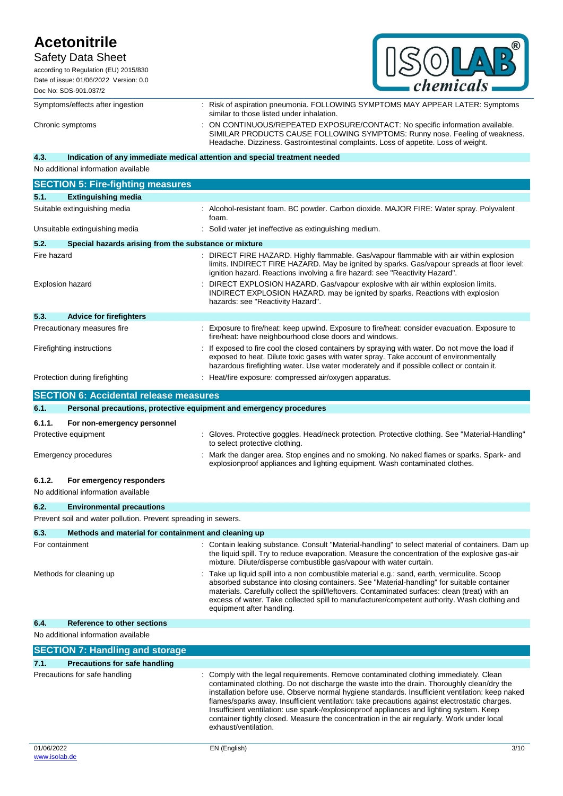## Safety Data Sheet according to Regulation (EU) 2015/830

| <i>chemicals</i><br>Q |
|-----------------------|

Date of issue: 01/06/2022 Version: 0.0 Doc No: SDS-901.037/2

Symptoms/effects after ingestion : Risk of aspiration pneumonia. FOLLOWING SYMPTOMS MAY APPEAR LATER: Symptoms similar to those listed under inhalation. Chronic symptoms : ON CONTINUOUS/REPEATED EXPOSURE/CONTACT: No specific information available. SIMILAR PRODUCTS CAUSE FOLLOWING SYMPTOMS: Runny nose. Feeling of weakness. Headache. Dizziness. Gastrointestinal complaints. Loss of appetite. Loss of weight.

### **4.3. Indication of any immediate medical attention and special treatment needed**

No additional information available

|                         | <b>SECTION 5: Fire-fighting measures</b>              |                                                                                                                                                                                                                                                                                     |
|-------------------------|-------------------------------------------------------|-------------------------------------------------------------------------------------------------------------------------------------------------------------------------------------------------------------------------------------------------------------------------------------|
| 5.1.                    | <b>Extinguishing media</b>                            |                                                                                                                                                                                                                                                                                     |
|                         | Suitable extinguishing media                          | Alcohol-resistant foam. BC powder. Carbon dioxide. MAJOR FIRE: Water spray. Polyvalent<br>foam.                                                                                                                                                                                     |
|                         | Unsuitable extinguishing media                        | : Solid water jet ineffective as extinguishing medium.                                                                                                                                                                                                                              |
| 5.2.                    | Special hazards arising from the substance or mixture |                                                                                                                                                                                                                                                                                     |
| Fire hazard             |                                                       | : DIRECT FIRE HAZARD. Highly flammable. Gas/vapour flammable with air within explosion<br>limits. INDIRECT FIRE HAZARD. May be ignited by sparks. Gas/vapour spreads at floor level:<br>ignition hazard. Reactions involving a fire hazard: see "Reactivity Hazard".                |
| <b>Explosion hazard</b> |                                                       | DIRECT EXPLOSION HAZARD. Gas/vapour explosive with air within explosion limits.<br>INDIRECT EXPLOSION HAZARD. may be ignited by sparks. Reactions with explosion<br>hazards: see "Reactivity Hazard".                                                                               |
| 5.3.                    | <b>Advice for firefighters</b>                        |                                                                                                                                                                                                                                                                                     |
|                         | Precautionary measures fire                           | Exposure to fire/heat: keep upwind. Exposure to fire/heat: consider evacuation. Exposure to<br>fire/heat: have neighbourhood close doors and windows.                                                                                                                               |
|                         | Firefighting instructions                             | If exposed to fire cool the closed containers by spraying with water. Do not move the load if<br>exposed to heat. Dilute toxic gases with water spray. Take account of environmentally<br>hazardous firefighting water. Use water moderately and if possible collect or contain it. |
|                         | Protection during firefighting                        | Heat/fire exposure: compressed air/oxygen apparatus.                                                                                                                                                                                                                                |

|                               | <b>SECTION 6: Accidental release measures</b>                       |                                                                                                                                                                                                                                                                                                                                                                                                                                                                                                                                                                                 |  |  |  |
|-------------------------------|---------------------------------------------------------------------|---------------------------------------------------------------------------------------------------------------------------------------------------------------------------------------------------------------------------------------------------------------------------------------------------------------------------------------------------------------------------------------------------------------------------------------------------------------------------------------------------------------------------------------------------------------------------------|--|--|--|
| 6.1.                          | Personal precautions, protective equipment and emergency procedures |                                                                                                                                                                                                                                                                                                                                                                                                                                                                                                                                                                                 |  |  |  |
| 6.1.1.                        | For non-emergency personnel                                         |                                                                                                                                                                                                                                                                                                                                                                                                                                                                                                                                                                                 |  |  |  |
|                               | Protective equipment                                                | Gloves. Protective goggles. Head/neck protection. Protective clothing. See "Material-Handling"<br>to select protective clothing.                                                                                                                                                                                                                                                                                                                                                                                                                                                |  |  |  |
|                               | <b>Emergency procedures</b>                                         | Mark the danger area. Stop engines and no smoking. No naked flames or sparks. Spark- and<br>explosionproof appliances and lighting equipment. Wash contaminated clothes.                                                                                                                                                                                                                                                                                                                                                                                                        |  |  |  |
| 6.1.2.                        | For emergency responders<br>No additional information available     |                                                                                                                                                                                                                                                                                                                                                                                                                                                                                                                                                                                 |  |  |  |
| 6.2.                          | <b>Environmental precautions</b>                                    |                                                                                                                                                                                                                                                                                                                                                                                                                                                                                                                                                                                 |  |  |  |
|                               | Prevent soil and water pollution. Prevent spreading in sewers.      |                                                                                                                                                                                                                                                                                                                                                                                                                                                                                                                                                                                 |  |  |  |
| 6.3.                          | Methods and material for containment and cleaning up                |                                                                                                                                                                                                                                                                                                                                                                                                                                                                                                                                                                                 |  |  |  |
| For containment               |                                                                     | Contain leaking substance. Consult "Material-handling" to select material of containers. Dam up<br>the liquid spill. Try to reduce evaporation. Measure the concentration of the explosive gas-air<br>mixture. Dilute/disperse combustible gas/vapour with water curtain.                                                                                                                                                                                                                                                                                                       |  |  |  |
|                               | Methods for cleaning up                                             | Take up liquid spill into a non combustible material e.g.: sand, earth, vermiculite. Scoop<br>absorbed substance into closing containers. See "Material-handling" for suitable container<br>materials. Carefully collect the spill/leftovers. Contaminated surfaces: clean (treat) with an<br>excess of water. Take collected spill to manufacturer/competent authority. Wash clothing and<br>equipment after handling.                                                                                                                                                         |  |  |  |
| 6.4.                          | <b>Reference to other sections</b>                                  |                                                                                                                                                                                                                                                                                                                                                                                                                                                                                                                                                                                 |  |  |  |
|                               | No additional information available                                 |                                                                                                                                                                                                                                                                                                                                                                                                                                                                                                                                                                                 |  |  |  |
|                               | <b>SECTION 7: Handling and storage</b>                              |                                                                                                                                                                                                                                                                                                                                                                                                                                                                                                                                                                                 |  |  |  |
| 7.1.                          | <b>Precautions for safe handling</b>                                |                                                                                                                                                                                                                                                                                                                                                                                                                                                                                                                                                                                 |  |  |  |
| Precautions for safe handling |                                                                     | Comply with the legal requirements. Remove contaminated clothing immediately. Clean<br>contaminated clothing. Do not discharge the waste into the drain. Thoroughly clean/dry the<br>installation before use. Observe normal hygiene standards. Insufficient ventilation: keep naked<br>flames/sparks away. Insufficient ventilation: take precautions against electrostatic charges.<br>Insufficient ventilation: use spark-/explosionproof appliances and lighting system. Keep<br>container tightly closed. Measure the concentration in the air regularly. Work under local |  |  |  |

exhaust/ventilation.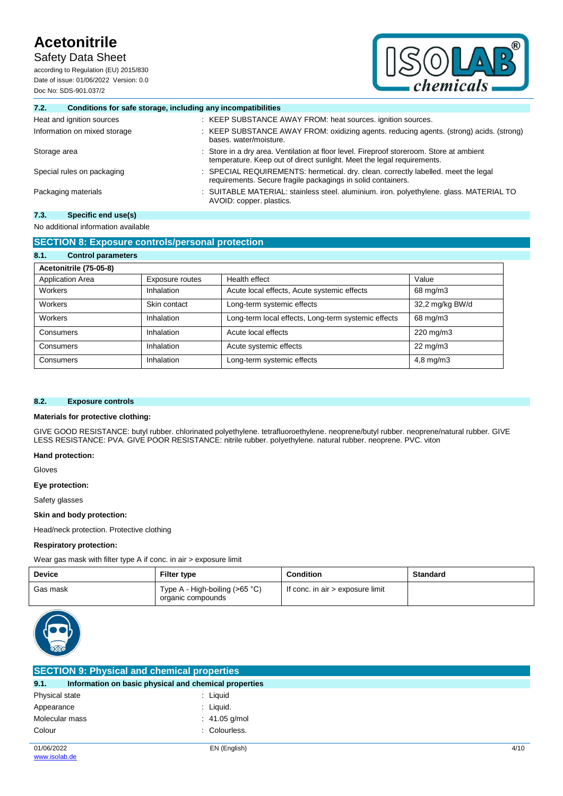Safety Data Sheet

according to Regulation (EU) 2015/830 Date of issue: 01/06/2022 Version: 0.0 Doc No: SDS-901.037/2



## **7.2. Conditions for safe storage, including any incompatibilities**

| Heat and ignition sources    | : KEEP SUBSTANCE AWAY FROM: heat sources. ignition sources.                                                                                                        |  |  |
|------------------------------|--------------------------------------------------------------------------------------------------------------------------------------------------------------------|--|--|
| Information on mixed storage | : KEEP SUBSTANCE AWAY FROM: oxidizing agents. reducing agents. (strong) acids. (strong)<br>bases. water/moisture.                                                  |  |  |
| Storage area                 | : Store in a dry area. Ventilation at floor level. Fireproof storeroom. Store at ambient<br>temperature. Keep out of direct sunlight. Meet the legal requirements. |  |  |
| Special rules on packaging   | : SPECIAL REQUIREMENTS: hermetical. dry. clean. correctly labelled. meet the legal<br>requirements. Secure fragile packagings in solid containers.                 |  |  |
| Packaging materials          | : SUITABLE MATERIAL: stainless steel. aluminium. iron. polyethylene. glass. MATERIAL TO<br>AVOID: copper. plastics.                                                |  |  |

## **7.3. Specific end use(s)**

## No additional information available

| <b>SECTION 8: Exposure controls/personal protection</b> |                 |                                                     |                   |  |  |  |
|---------------------------------------------------------|-----------------|-----------------------------------------------------|-------------------|--|--|--|
| 8.1.<br><b>Control parameters</b>                       |                 |                                                     |                   |  |  |  |
| Acetonitrile (75-05-8)                                  |                 |                                                     |                   |  |  |  |
| Application Area                                        | Exposure routes | Health effect                                       | Value             |  |  |  |
| Workers                                                 | Inhalation      | Acute local effects, Acute systemic effects         | 68 mg/m3          |  |  |  |
| Workers                                                 | Skin contact    | Long-term systemic effects                          | 32,2 mg/kg BW/d   |  |  |  |
| Workers                                                 | Inhalation      | Long-term local effects, Long-term systemic effects | 68 mg/m3          |  |  |  |
| Consumers                                               | Inhalation      | Acute local effects                                 | 220 mg/m3         |  |  |  |
| Consumers                                               | Inhalation      | Acute systemic effects                              | $22 \text{ mg/m}$ |  |  |  |
| Consumers                                               | Inhalation      | Long-term systemic effects                          | $4,8$ mg/m $3$    |  |  |  |

### **8.2. Exposure controls**

#### **Materials for protective clothing:**

GIVE GOOD RESISTANCE: butyl rubber. chlorinated polyethylene. tetrafluoroethylene. neoprene/butyl rubber. neoprene/natural rubber. GIVE LESS RESISTANCE: PVA. GIVE POOR RESISTANCE: nitrile rubber. polyethylene. natural rubber. neoprene. PVC. viton

#### **Hand protection:**

Gloves

#### **Eye protection:**

Safety glasses

#### **Skin and body protection:**

Head/neck protection. Protective clothing

#### **Respiratory protection:**

Wear gas mask with filter type A if conc. in air > exposure limit

| <b>Device</b> | <b>Filter type</b>                                  | <b>Condition</b>                 | Standard |
|---------------|-----------------------------------------------------|----------------------------------|----------|
| Gas mask      | Type A - High-boiling (>65 °C)<br>organic compounds | If conc. in air > exposure limit |          |



| <b>SECTION 9: Physical and chemical properties</b> |                                                       |      |  |  |
|----------------------------------------------------|-------------------------------------------------------|------|--|--|
| 9.1.                                               | Information on basic physical and chemical properties |      |  |  |
| Physical state                                     | : Liquid                                              |      |  |  |
| Appearance                                         | $:$ Liquid.                                           |      |  |  |
| Molecular mass                                     | $: 41.05$ g/mol                                       |      |  |  |
| Colour                                             | : Colourless.                                         |      |  |  |
| 01/06/2022                                         | EN (English)                                          | 4/10 |  |  |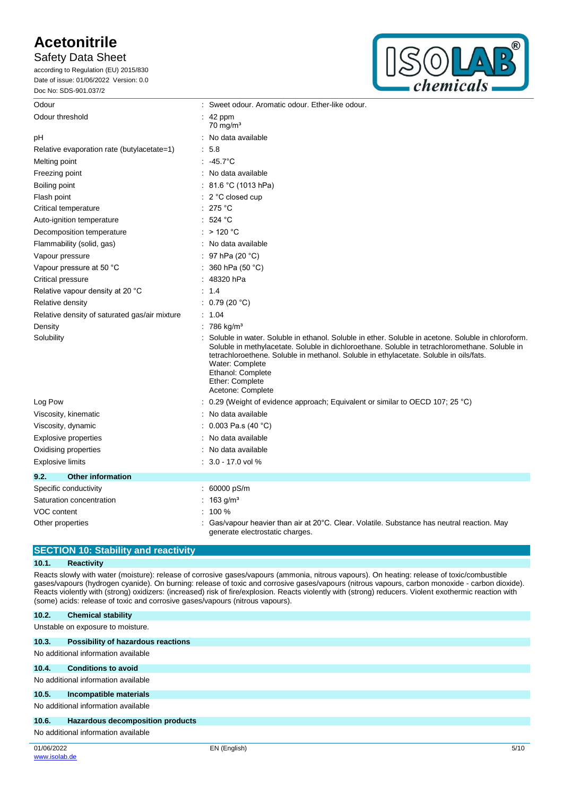## Safety Data Sheet

according to Regulation (EU) 2015/830 Date of issue: 01/06/2022 Version: 0.0 Doc No: SDS-901.037/2



| Odour                                                                 |  | : Sweet odour. Aromatic odour. Ether-like odour.                                                                                                                                                                                                                                                                    |  |
|-----------------------------------------------------------------------|--|---------------------------------------------------------------------------------------------------------------------------------------------------------------------------------------------------------------------------------------------------------------------------------------------------------------------|--|
| Odour threshold                                                       |  | $\therefore$ 42 ppm<br>$70 \text{ mg/m}^3$                                                                                                                                                                                                                                                                          |  |
| pH                                                                    |  | No data available                                                                                                                                                                                                                                                                                                   |  |
| Relative evaporation rate (butylacetate=1)                            |  | 5.8                                                                                                                                                                                                                                                                                                                 |  |
| Melting point                                                         |  | $: 45.7^{\circ}$ C                                                                                                                                                                                                                                                                                                  |  |
| Freezing point                                                        |  | : No data available                                                                                                                                                                                                                                                                                                 |  |
| Boiling point                                                         |  | 81.6 °C (1013 hPa)                                                                                                                                                                                                                                                                                                  |  |
| Flash point                                                           |  | $\therefore$ 2 °C closed cup                                                                                                                                                                                                                                                                                        |  |
| Critical temperature                                                  |  | : 275 °C                                                                                                                                                                                                                                                                                                            |  |
| Auto-ignition temperature                                             |  | : 524 °C                                                                                                                                                                                                                                                                                                            |  |
| Decomposition temperature                                             |  | : $>120 °C$                                                                                                                                                                                                                                                                                                         |  |
| Flammability (solid, gas)                                             |  | : No data available                                                                                                                                                                                                                                                                                                 |  |
| Vapour pressure                                                       |  | 97 hPa (20 °C)                                                                                                                                                                                                                                                                                                      |  |
| Vapour pressure at 50 °C                                              |  | 360 hPa (50 °C)                                                                                                                                                                                                                                                                                                     |  |
| Critical pressure                                                     |  | 48320 hPa                                                                                                                                                                                                                                                                                                           |  |
| Relative vapour density at 20 °C                                      |  | 1.4                                                                                                                                                                                                                                                                                                                 |  |
| Relative density                                                      |  | : $0.79(20 °C)$                                                                                                                                                                                                                                                                                                     |  |
| Relative density of saturated gas/air mixture                         |  | : 1.04                                                                                                                                                                                                                                                                                                              |  |
| Density                                                               |  | $: 786 \text{ kg/m}^3$                                                                                                                                                                                                                                                                                              |  |
| Solubility<br>Water: Complete<br>Ethanol: Complete<br>Ether: Complete |  | Soluble in water. Soluble in ethanol. Soluble in ether. Soluble in acetone. Soluble in chloroform.<br>Soluble in methylacetate. Soluble in dichloroethane. Soluble in tetrachloromethane. Soluble in<br>tetrachloroethene. Soluble in methanol. Soluble in ethylacetate. Soluble in oils/fats.<br>Acetone: Complete |  |
| Log Pow                                                               |  | 0.29 (Weight of evidence approach; Equivalent or similar to OECD 107; 25 °C)                                                                                                                                                                                                                                        |  |
| Viscosity, kinematic                                                  |  | No data available                                                                                                                                                                                                                                                                                                   |  |
| Viscosity, dynamic                                                    |  | : $0.003$ Pa.s (40 °C)                                                                                                                                                                                                                                                                                              |  |
| <b>Explosive properties</b>                                           |  | No data available                                                                                                                                                                                                                                                                                                   |  |
| Oxidising properties                                                  |  | No data available                                                                                                                                                                                                                                                                                                   |  |
| <b>Explosive limits</b>                                               |  | $: 3.0 - 17.0$ vol %                                                                                                                                                                                                                                                                                                |  |
| 9.2.<br><b>Other information</b>                                      |  |                                                                                                                                                                                                                                                                                                                     |  |
| Specific conductivity                                                 |  | 60000 pS/m                                                                                                                                                                                                                                                                                                          |  |
| Saturation concentration                                              |  | 163 $g/m3$                                                                                                                                                                                                                                                                                                          |  |
| VOC content                                                           |  | 100 %                                                                                                                                                                                                                                                                                                               |  |
| Other properties                                                      |  | Gas/vapour heavier than air at 20°C. Clear. Volatile. Substance has neutral reaction. May<br>generate electrostatic charges.                                                                                                                                                                                        |  |

## **SECTION 10: Stability and reactivity**

### **10.1. Reactivity**

Reacts slowly with water (moisture): release of corrosive gases/vapours (ammonia, nitrous vapours). On heating: release of toxic/combustible gases/vapours (hydrogen cyanide). On burning: release of toxic and corrosive gases/vapours (nitrous vapours, carbon monoxide - carbon dioxide). Reacts violently with (strong) oxidizers: (increased) risk of fire/explosion. Reacts violently with (strong) reducers. Violent exothermic reaction with (some) acids: release of toxic and corrosive gases/vapours (nitrous vapours).

| 10.2.      | <b>Chemical stability</b>           |              |      |
|------------|-------------------------------------|--------------|------|
|            | Unstable on exposure to moisture.   |              |      |
| 10.3.      | Possibility of hazardous reactions  |              |      |
|            | No additional information available |              |      |
| 10.4.      | <b>Conditions to avoid</b>          |              |      |
|            | No additional information available |              |      |
| 10.5.      | Incompatible materials              |              |      |
|            | No additional information available |              |      |
| 10.6.      | Hazardous decomposition products    |              |      |
|            | No additional information available |              |      |
| 01/06/2022 |                                     | EN (English) | 5/10 |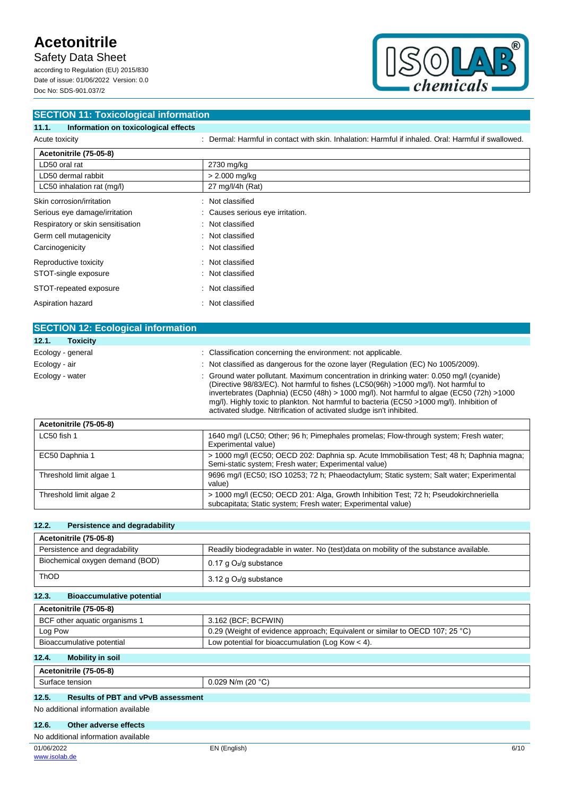Safety Data Sheet

according to Regulation (EU) 2015/830 Date of issue: 01/06/2022 Version: 0.0 Doc No: SDS-901.037/2



| <b>SECTION 11: Toxicological information</b>  |                                                                                                     |  |  |
|-----------------------------------------------|-----------------------------------------------------------------------------------------------------|--|--|
| Information on toxicological effects<br>11.1. |                                                                                                     |  |  |
| Acute toxicity                                | : Dermal: Harmful in contact with skin, Inhalation: Harmful if inhaled, Oral: Harmful if swallowed. |  |  |
| Acetonitrile (75-05-8)                        |                                                                                                     |  |  |
| LD50 oral rat                                 | 2730 mg/kg                                                                                          |  |  |
| LD50 dermal rabbit                            | $> 2.000$ mg/kg                                                                                     |  |  |
| LC50 inhalation rat (mg/l)                    | 27 mg/l/4h (Rat)                                                                                    |  |  |
| Skin corrosion/irritation                     | : Not classified                                                                                    |  |  |
| Serious eye damage/irritation                 | Causes serious eye irritation.                                                                      |  |  |
| Respiratory or skin sensitisation             | Not classified<br>÷                                                                                 |  |  |
| Germ cell mutagenicity                        | : Not classified                                                                                    |  |  |
| Carcinogenicity                               | : Not classified                                                                                    |  |  |
| Reproductive toxicity                         | Not classified<br>÷.                                                                                |  |  |
| STOT-single exposure                          | : Not classified                                                                                    |  |  |
| STOT-repeated exposure                        | Not classified<br>÷                                                                                 |  |  |
| Aspiration hazard                             | Not classified<br>÷                                                                                 |  |  |

| <b>SECTION 12: Ecological information</b> |                                                                                                                                                                                                                                                                                                                                                                                                                                                |
|-------------------------------------------|------------------------------------------------------------------------------------------------------------------------------------------------------------------------------------------------------------------------------------------------------------------------------------------------------------------------------------------------------------------------------------------------------------------------------------------------|
| 12.1.<br><b>Toxicity</b>                  |                                                                                                                                                                                                                                                                                                                                                                                                                                                |
| Ecology - general                         | : Classification concerning the environment: not applicable.                                                                                                                                                                                                                                                                                                                                                                                   |
| Ecology - air                             | : Not classified as dangerous for the ozone layer (Regulation (EC) No 1005/2009).                                                                                                                                                                                                                                                                                                                                                              |
| Ecology - water                           | : Ground water pollutant. Maximum concentration in drinking water: 0.050 mg/l (cyanide)<br>(Directive 98/83/EC). Not harmful to fishes (LC50(96h) >1000 mg/l). Not harmful to<br>invertebrates (Daphnia) (EC50 (48h) > 1000 mg/l). Not harmful to algae (EC50 (72h) >1000<br>mg/l). Highly toxic to plankton. Not harmful to bacteria (EC50 >1000 mg/l). Inhibition of<br>activated sludge. Nitrification of activated sludge isn't inhibited. |

| Acetonitrile (75-05-8)  |                                                                                                                                                      |
|-------------------------|------------------------------------------------------------------------------------------------------------------------------------------------------|
| LC50 fish 1             | 1640 mg/l (LC50; Other; 96 h; Pimephales promelas; Flow-through system; Fresh water;<br>Experimental value)                                          |
| EC50 Daphnia 1          | > 1000 mg/l (EC50; OECD 202: Daphnia sp. Acute Immobilisation Test; 48 h; Daphnia magna;<br>Semi-static system; Fresh water; Experimental value)     |
| Threshold limit algae 1 | 9696 mg/l (EC50; ISO 10253; 72 h; Phaeodactylum; Static system; Salt water; Experimental<br>value)                                                   |
| Threshold limit algae 2 | > 1000 mg/l (EC50; OECD 201: Alga, Growth Inhibition Test; 72 h; Pseudokirchneriella<br>subcapitata; Static system; Fresh water; Experimental value) |

## **12.2. Persistence and degradability**

| Acetonitrile (75-05-8)          |                                                                                       |
|---------------------------------|---------------------------------------------------------------------------------------|
| Persistence and degradability   | Readily biodegradable in water. No (test)data on mobility of the substance available. |
| Biochemical oxygen demand (BOD) | $0.17$ g $O_2$ /g substance                                                           |
| <b>ThOD</b>                     | $3.12$ g O <sub>2</sub> /g substance                                                  |

## **12.3. Bioaccumulative potential**

| Acetonitrile (75-05-8)        |                                                                              |
|-------------------------------|------------------------------------------------------------------------------|
| BCF other aquatic organisms 1 | 3.162 (BCF: BCFWIN)                                                          |
| Log Pow                       | 0.29 (Weight of evidence approach; Equivalent or similar to OECD 107; 25 °C) |
| Bioaccumulative potential     | Low potential for bioaccumulation (Log Kow $<$ 4).                           |

## **12.4. Mobility in soil**

| <b>. በ5-አ</b><br>$\mathbf{a}$<br>.<br>не |                                     |
|------------------------------------------|-------------------------------------|
| .<br>tension<br>、<br>avo                 | 100.90<br>N/m<br>14 U<br>∪.∪∠J<br>ີ |

## **12.5. Results of PBT and vPvB assessment**

#### No additional information available

## **12.6. Other adverse effects**

|  | No additional information available |  |
|--|-------------------------------------|--|
|  |                                     |  |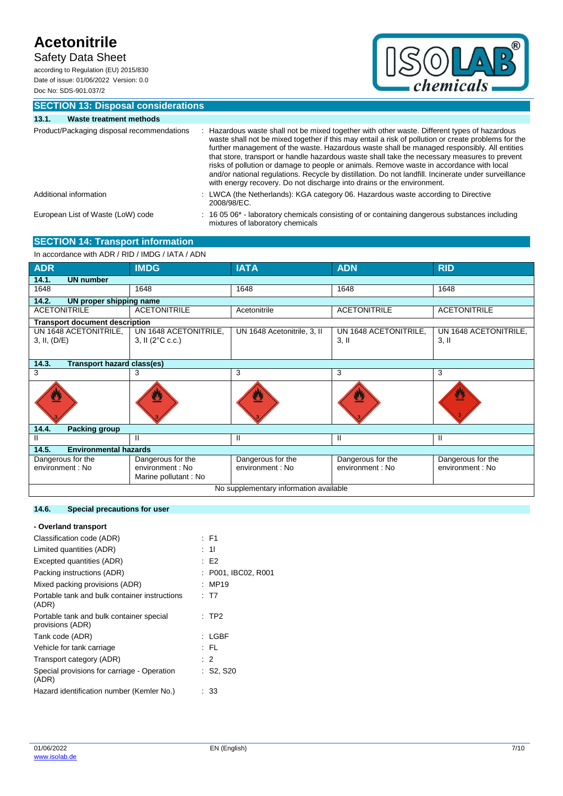Safety Data Sheet

according to Regulation (EU) 2015/830 Date of issue: 01/06/2022 Version: 0.0 Doc No: SDS-901.037/2



**SECTION 13: Disposal considerations 13.1. Waste treatment methods**

| Product/Packaging disposal recommendations<br>Hazardous waste shall not be mixed together with other waste. Different types of hazardous<br>waste shall not be mixed together if this may entail a risk of pollution or create problems for the<br>further management of the waste. Hazardous waste shall be managed responsibly. All entities<br>that store, transport or handle hazardous waste shall take the necessary measures to prevent<br>risks of pollution or damage to people or animals. Remove waste in accordance with local<br>and/or national regulations. Recycle by distillation. Do not landfill. Incinerate under surveillance<br>with energy recovery. Do not discharge into drains or the environment.<br>: LWCA (the Netherlands): KGA category 06. Hazardous waste according to Directive<br>Additional information<br>2008/98/EC.<br>: 16 05 06* - laboratory chemicals consisting of or containing dangerous substances including<br>European List of Waste (LoW) code<br>mixtures of laboratory chemicals | 10. L<br>waste treatment methods |  |
|--------------------------------------------------------------------------------------------------------------------------------------------------------------------------------------------------------------------------------------------------------------------------------------------------------------------------------------------------------------------------------------------------------------------------------------------------------------------------------------------------------------------------------------------------------------------------------------------------------------------------------------------------------------------------------------------------------------------------------------------------------------------------------------------------------------------------------------------------------------------------------------------------------------------------------------------------------------------------------------------------------------------------------------|----------------------------------|--|
|                                                                                                                                                                                                                                                                                                                                                                                                                                                                                                                                                                                                                                                                                                                                                                                                                                                                                                                                                                                                                                      |                                  |  |
|                                                                                                                                                                                                                                                                                                                                                                                                                                                                                                                                                                                                                                                                                                                                                                                                                                                                                                                                                                                                                                      |                                  |  |
|                                                                                                                                                                                                                                                                                                                                                                                                                                                                                                                                                                                                                                                                                                                                                                                                                                                                                                                                                                                                                                      |                                  |  |

#### **SECTION 14: Transport information** In accordance with ADR / RID / IMDG / IATA / ADN

| IN accordance with ADR / RID / IMDG / IATA / ADN |                                   |                             |                       |                       |  |
|--------------------------------------------------|-----------------------------------|-----------------------------|-----------------------|-----------------------|--|
| <b>ADR</b>                                       | <b>IMDG</b>                       | <b>IATA</b>                 | <b>ADN</b>            | <b>RID</b>            |  |
| 14.1.<br><b>UN number</b>                        |                                   |                             |                       |                       |  |
| 1648                                             | 1648                              | 1648                        | 1648                  | 1648                  |  |
| 14.2.<br>UN proper shipping name                 |                                   |                             |                       |                       |  |
| <b>ACETONITRILE</b>                              | <b>ACETONITRILE</b>               | Acetonitrile                | <b>ACETONITRILE</b>   | <b>ACETONITRILE</b>   |  |
| <b>Transport document description</b>            |                                   |                             |                       |                       |  |
| UN 1648 ACETONITRILE,                            | UN 1648 ACETONITRILE,             | UN 1648 Acetonitrile, 3, II | UN 1648 ACETONITRILE, | UN 1648 ACETONITRILE, |  |
| 3, II, (D/E)                                     | 3, II $(2^{\circ}C \text{ c.c.})$ |                             | $3,$ II               | $3,$ II               |  |
|                                                  |                                   |                             |                       |                       |  |
| 14.3.<br>Transport hazard class(es)              |                                   |                             |                       |                       |  |
| 3                                                | 3                                 | 3                           | 3                     | 3                     |  |
|                                                  |                                   |                             |                       | W                     |  |
| 14.4.<br><b>Packing group</b>                    |                                   |                             |                       |                       |  |
| Ш                                                | Ш                                 | Ш                           | Ш                     | Ш                     |  |
| 14.5.<br><b>Environmental hazards</b>            |                                   |                             |                       |                       |  |
| Dangerous for the                                | Dangerous for the                 | Dangerous for the           | Dangerous for the     | Dangerous for the     |  |
| environment : No                                 | environment : No                  | environment : No            | environment : No      | environment : No      |  |
|                                                  | Marine pollutant: No              |                             |                       |                       |  |
| No supplementary information available           |                                   |                             |                       |                       |  |
|                                                  |                                   |                             |                       |                       |  |

### **14.6. Special precautions for user**

## **- Overland transport**

| Classification code (ADR)                                    | : F1                |
|--------------------------------------------------------------|---------------------|
| Limited quantities (ADR)                                     | : 11                |
| Excepted quantities (ADR)                                    | : E2                |
| Packing instructions (ADR)                                   | : P001, IBC02, R001 |
| Mixed packing provisions (ADR)                               | : MP19              |
| Portable tank and bulk container instructions<br>(ADR)       | : T7                |
| Portable tank and bulk container special<br>provisions (ADR) | $:$ TP2             |
| Tank code (ADR)                                              | : LGBF              |
| Vehicle for tank carriage                                    | : FL                |
| Transport category (ADR)                                     | $\therefore$ 2      |
| Special provisions for carriage - Operation<br>(ADR)         | $:$ S2, S20         |
| Hazard identification number (Kemler No.)                    | : 33                |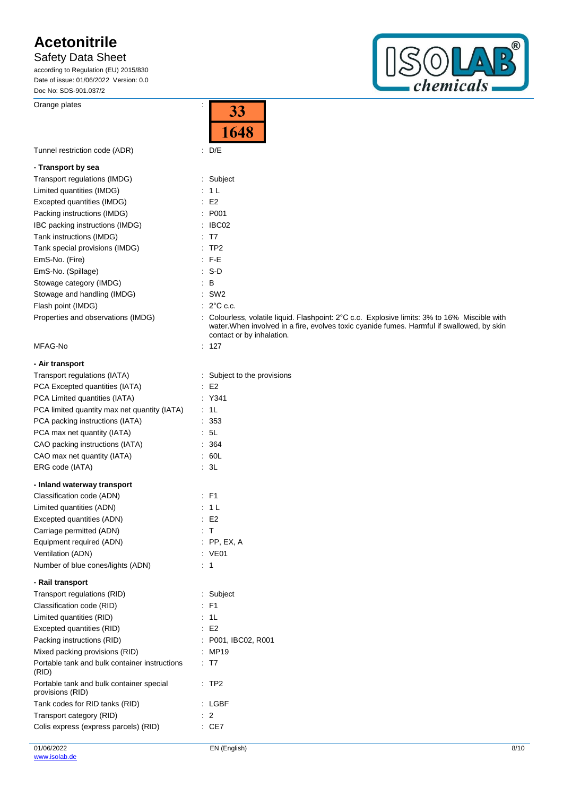Safety Data Sheet

according to Regulation (EU) 2015/830 Date of issue: 01/06/2022 Version: 0.0 Doc No: SDS-901.037/2

Orange plates in the set of the set of the set of the set of the set of the set of the set of the set of the set of the set of the set of the set of the set of the set of the set of the set of the set of the set of the set

 $^{\circledR}$  $\bigcirc$  $\sqrt{\frac{D}{D}}$ chemicals

|                                                                                 | 1648                                                                                                                                                                                                                     |
|---------------------------------------------------------------------------------|--------------------------------------------------------------------------------------------------------------------------------------------------------------------------------------------------------------------------|
| Tunnel restriction code (ADR)                                                   | $\therefore$ D/E                                                                                                                                                                                                         |
| - Transport by sea                                                              |                                                                                                                                                                                                                          |
| Transport regulations (IMDG)                                                    | : Subject                                                                                                                                                                                                                |
| Limited quantities (IMDG)                                                       | : 1L                                                                                                                                                                                                                     |
| Excepted quantities (IMDG)                                                      | $\therefore$ E2                                                                                                                                                                                                          |
| Packing instructions (IMDG)                                                     | : P001                                                                                                                                                                                                                   |
| IBC packing instructions (IMDG)                                                 | $\therefore$ IBC02                                                                                                                                                                                                       |
| Tank instructions (IMDG)                                                        | : T7                                                                                                                                                                                                                     |
| Tank special provisions (IMDG)                                                  | :TP2                                                                                                                                                                                                                     |
| EmS-No. (Fire)                                                                  | $\therefore$ F-E                                                                                                                                                                                                         |
| EmS-No. (Spillage)                                                              | $\therefore$ S-D                                                                                                                                                                                                         |
| Stowage category (IMDG)                                                         | $\mathbf{B}$                                                                                                                                                                                                             |
| Stowage and handling (IMDG)                                                     | $\therefore$ SW2                                                                                                                                                                                                         |
| Flash point (IMDG)                                                              | $: 2^{\circ}$ C c.c.                                                                                                                                                                                                     |
| Properties and observations (IMDG)                                              | : Colourless, volatile liquid. Flashpoint: 2°C c.c. Explosive limits: 3% to 16% Miscible with<br>water. When involved in a fire, evolves toxic cyanide fumes. Harmful if swallowed, by skin<br>contact or by inhalation. |
| MFAG-No                                                                         | $\therefore$ 127                                                                                                                                                                                                         |
| - Air transport                                                                 |                                                                                                                                                                                                                          |
| Transport regulations (IATA)                                                    | : Subject to the provisions                                                                                                                                                                                              |
| PCA Excepted quantities (IATA)                                                  | E2                                                                                                                                                                                                                       |
| PCA Limited quantities (IATA)                                                   | : Y341                                                                                                                                                                                                                   |
| PCA limited quantity max net quantity (IATA)                                    | : 1L                                                                                                                                                                                                                     |
| PCA packing instructions (IATA)                                                 | .353                                                                                                                                                                                                                     |
| PCA max net quantity (IATA)                                                     | $\therefore$ 5L                                                                                                                                                                                                          |
| CAO packing instructions (IATA)                                                 | : 364                                                                                                                                                                                                                    |
| CAO max net quantity (IATA)                                                     | .60L                                                                                                                                                                                                                     |
| ERG code (IATA)                                                                 | : 3L                                                                                                                                                                                                                     |
| - Inland waterway transport                                                     |                                                                                                                                                                                                                          |
| Classification code (ADN)                                                       | $\therefore$ F1                                                                                                                                                                                                          |
| Limited quantities (ADN)                                                        | : 1L                                                                                                                                                                                                                     |
| Excepted quantities (ADN)                                                       | $\therefore$ E2                                                                                                                                                                                                          |
| Carriage permitted (ADN)                                                        | : T                                                                                                                                                                                                                      |
| Equipment required (ADN)                                                        | $:$ PP, EX, A                                                                                                                                                                                                            |
| Ventilation (ADN)                                                               | $\therefore$ VE01                                                                                                                                                                                                        |
| Number of blue cones/lights (ADN)                                               | : 1                                                                                                                                                                                                                      |
| - Rail transport                                                                |                                                                                                                                                                                                                          |
| Transport regulations (RID)                                                     | : Subject                                                                                                                                                                                                                |
| Classification code (RID)                                                       | $:$ F1                                                                                                                                                                                                                   |
| Limited quantities (RID)                                                        | : 1L                                                                                                                                                                                                                     |
| Excepted quantities (RID)                                                       | $\cdot$ E2                                                                                                                                                                                                               |
| Packing instructions (RID)                                                      | : P001, IBC02, R001                                                                                                                                                                                                      |
| Mixed packing provisions (RID)<br>Portable tank and bulk container instructions | : MP19<br>: T7                                                                                                                                                                                                           |
| (RID)<br>Portable tank and bulk container special                               | :TP2                                                                                                                                                                                                                     |
| provisions (RID)                                                                |                                                                                                                                                                                                                          |
| Tank codes for RID tanks (RID)                                                  | : LGBF                                                                                                                                                                                                                   |
| Transport category (RID)                                                        | $\therefore$ 2                                                                                                                                                                                                           |
| Colis express (express parcels) (RID)                                           | $\therefore$ CE7                                                                                                                                                                                                         |

 $\overline{33}$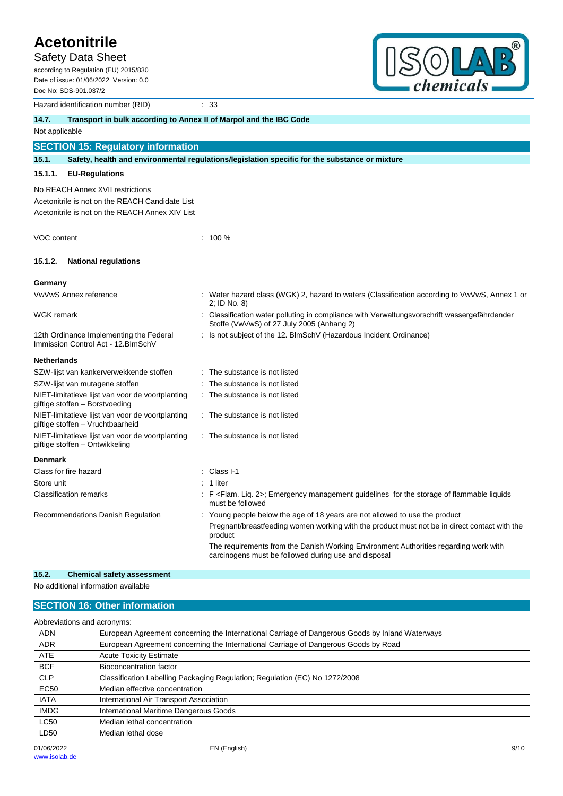Safety Data Sheet

according to Regulation (EU) 2015/830 Date of issue: 01/06/2022 Version: 0.0 Doc No: SDS-901.037/2

Hazard identification number (RID) 33



|                                                                                | <b>Hazard Refinition Hampor (RD)</b>                                                 |  |                                                                                                                                              |  |  |  |
|--------------------------------------------------------------------------------|--------------------------------------------------------------------------------------|--|----------------------------------------------------------------------------------------------------------------------------------------------|--|--|--|
| 14.7.                                                                          | Transport in bulk according to Annex II of Marpol and the IBC Code                   |  |                                                                                                                                              |  |  |  |
| Not applicable                                                                 |                                                                                      |  |                                                                                                                                              |  |  |  |
|                                                                                | <b>SECTION 15: Regulatory information</b>                                            |  |                                                                                                                                              |  |  |  |
| 15.1.                                                                          |                                                                                      |  | Safety, health and environmental regulations/legislation specific for the substance or mixture                                               |  |  |  |
| 15.1.1.                                                                        | <b>EU-Regulations</b>                                                                |  |                                                                                                                                              |  |  |  |
|                                                                                | No REACH Annex XVII restrictions                                                     |  |                                                                                                                                              |  |  |  |
|                                                                                | Acetonitrile is not on the REACH Candidate List                                      |  |                                                                                                                                              |  |  |  |
|                                                                                | Acetonitrile is not on the REACH Annex XIV List                                      |  |                                                                                                                                              |  |  |  |
| VOC content                                                                    |                                                                                      |  | $: 100 \%$                                                                                                                                   |  |  |  |
| 15.1.2.                                                                        | <b>National regulations</b>                                                          |  |                                                                                                                                              |  |  |  |
| Germany                                                                        |                                                                                      |  |                                                                                                                                              |  |  |  |
|                                                                                | VwVwS Annex reference                                                                |  | : Water hazard class (WGK) 2, hazard to waters (Classification according to VwVwS, Annex 1 or<br>2; ID No. 8)                                |  |  |  |
| <b>WGK</b> remark                                                              |                                                                                      |  | Classification water polluting in compliance with Verwaltungsvorschrift wassergefährdender<br>Stoffe (VwVwS) of 27 July 2005 (Anhang 2)      |  |  |  |
| 12th Ordinance Implementing the Federal<br>Immission Control Act - 12. BlmSchV |                                                                                      |  | : Is not subject of the 12. BlmSchV (Hazardous Incident Ordinance)                                                                           |  |  |  |
| <b>Netherlands</b>                                                             |                                                                                      |  |                                                                                                                                              |  |  |  |
|                                                                                | SZW-lijst van kankerverwekkende stoffen                                              |  | : The substance is not listed                                                                                                                |  |  |  |
|                                                                                | SZW-lijst van mutagene stoffen                                                       |  | The substance is not listed                                                                                                                  |  |  |  |
|                                                                                | NIET-limitatieve lijst van voor de voortplanting<br>giftige stoffen - Borstvoeding   |  | The substance is not listed                                                                                                                  |  |  |  |
|                                                                                | NIET-limitatieve lijst van voor de voortplanting<br>giftige stoffen - Vruchtbaarheid |  | : The substance is not listed                                                                                                                |  |  |  |
|                                                                                | NIET-limitatieve lijst van voor de voortplanting<br>giftige stoffen - Ontwikkeling   |  | : The substance is not listed                                                                                                                |  |  |  |
| <b>Denmark</b>                                                                 |                                                                                      |  |                                                                                                                                              |  |  |  |
|                                                                                | Class for fire hazard                                                                |  | Class I-1                                                                                                                                    |  |  |  |
| Store unit                                                                     |                                                                                      |  | 1 liter                                                                                                                                      |  |  |  |
|                                                                                | <b>Classification remarks</b>                                                        |  | : F <flam. 2="" liq.="">; Emergency management guidelines for the storage of flammable liquids<br/>must be followed</flam.>                  |  |  |  |
|                                                                                | Recommendations Danish Regulation                                                    |  | Young people below the age of 18 years are not allowed to use the product                                                                    |  |  |  |
|                                                                                |                                                                                      |  | Pregnant/breastfeeding women working with the product must not be in direct contact with the<br>product                                      |  |  |  |
|                                                                                |                                                                                      |  | The requirements from the Danish Working Environment Authorities regarding work with<br>carcinogens must be followed during use and disposal |  |  |  |
| 4E <sub>2</sub>                                                                | Chamisal cofatu occasoman                                                            |  |                                                                                                                                              |  |  |  |

**15.2. Chemical safety assessment**

No additional information available

## **SECTION 16: Other information**

| Abbreviations and acronyms: |                                                                                                 |  |  |  |
|-----------------------------|-------------------------------------------------------------------------------------------------|--|--|--|
| <b>ADN</b>                  | European Agreement concerning the International Carriage of Dangerous Goods by Inland Waterways |  |  |  |
| <b>ADR</b>                  | European Agreement concerning the International Carriage of Dangerous Goods by Road             |  |  |  |
| <b>ATE</b>                  | <b>Acute Toxicity Estimate</b>                                                                  |  |  |  |
| <b>BCF</b>                  | Bioconcentration factor                                                                         |  |  |  |
| <b>CLP</b>                  | Classification Labelling Packaging Regulation; Regulation (EC) No 1272/2008                     |  |  |  |
| <b>EC50</b>                 | Median effective concentration                                                                  |  |  |  |
| <b>IATA</b>                 | International Air Transport Association                                                         |  |  |  |
| <b>IMDG</b>                 | International Maritime Dangerous Goods                                                          |  |  |  |
| <b>LC50</b>                 | Median lethal concentration                                                                     |  |  |  |
| LD50                        | Median lethal dose                                                                              |  |  |  |